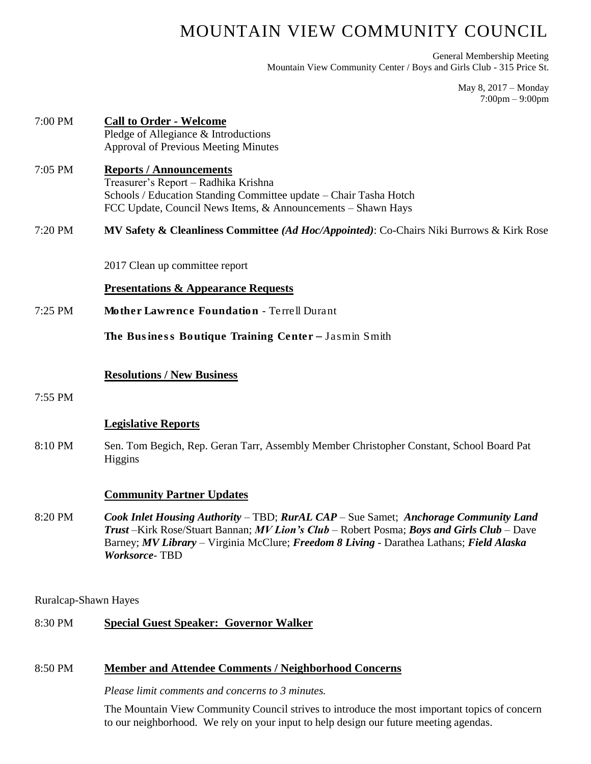# MOUNTAIN VIEW COMMUNITY COUNCIL

General Membership Meeting Mountain View Community Center / Boys and Girls Club - 315 Price St.

> May 8, 2017 – Monday 7:00pm – 9:00pm

| 7:00 PM   | <b>Call to Order - Welcome</b><br>Pledge of Allegiance & Introductions<br><b>Approval of Previous Meeting Minutes</b>                                                                                       |
|-----------|-------------------------------------------------------------------------------------------------------------------------------------------------------------------------------------------------------------|
| 7:05 PM   | <b>Reports / Announcements</b><br>Treasurer's Report - Radhika Krishna<br>Schools / Education Standing Committee update - Chair Tasha Hotch<br>FCC Update, Council News Items, & Announcements - Shawn Hays |
| $7:20$ PM | MV Safety & Cleanliness Committee (Ad Hoc/Appointed): Co-Chairs Niki Burrows & Kirk Rose                                                                                                                    |
|           | 2017 Clean up committee report<br><b>Presentations &amp; Appearance Requests</b>                                                                                                                            |
| $7:25$ PM | Mother Lawrence Foundation - Terrell Durant                                                                                                                                                                 |
|           | The Business Boutique Training Center - Jasmin Smith                                                                                                                                                        |
|           | <b>Resolutions / New Business</b>                                                                                                                                                                           |
| $7:55$ PM |                                                                                                                                                                                                             |
|           | <b>Legislative Reports</b>                                                                                                                                                                                  |
| 8:10 PM   | Sen. Tom Begich, Rep. Geran Tarr, Assembly Member Christopher Constant, School Board Pat<br>Higgins                                                                                                         |
|           |                                                                                                                                                                                                             |

#### **Community Partner Updates**

8:20 PM *Cook Inlet Housing Authority* – TBD; *RurAL CAP* – Sue Samet; *Anchorage Community Land Trust* –Kirk Rose/Stuart Bannan; *MV Lion's Club* – Robert Posma; *Boys and Girls Club* – Dave Barney; *MV Library* – Virginia McClure; *Freedom 8 Living* - Darathea Lathans; *Field Alaska Worksorce*- TBD

Ruralcap-Shawn Hayes

## 8:30 PM **Special Guest Speaker: Governor Walker**

## 8:50 PM **Member and Attendee Comments / Neighborhood Concerns**

*Please limit comments and concerns to 3 minutes.*

The Mountain View Community Council strives to introduce the most important topics of concern to our neighborhood. We rely on your input to help design our future meeting agendas.